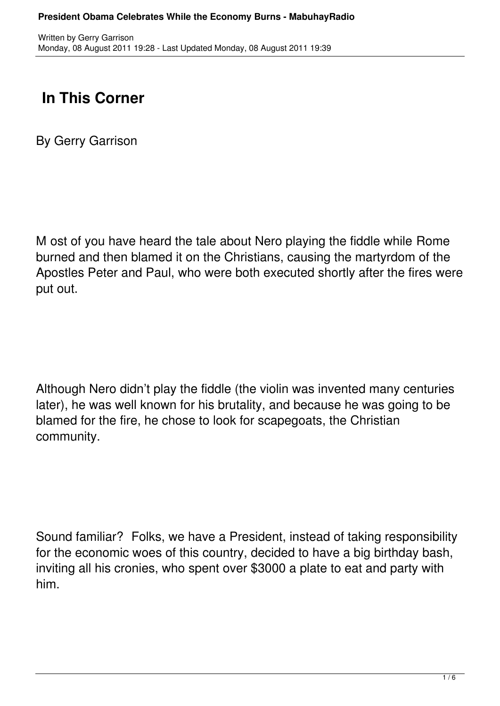## **In This Corner**

By Gerry Garrison

M ost of you have heard the tale about Nero playing the fiddle while Rome burned and then blamed it on the Christians, causing the martyrdom of the Apostles Peter and Paul, who were both executed shortly after the fires were put out.

Although Nero didn't play the fiddle (the violin was invented many centuries later), he was well known for his brutality, and because he was going to be blamed for the fire, he chose to look for scapegoats, the Christian community.

Sound familiar? Folks, we have a President, instead of taking responsibility for the economic woes of this country, decided to have a big birthday bash, inviting all his cronies, who spent over \$3000 a plate to eat and party with him.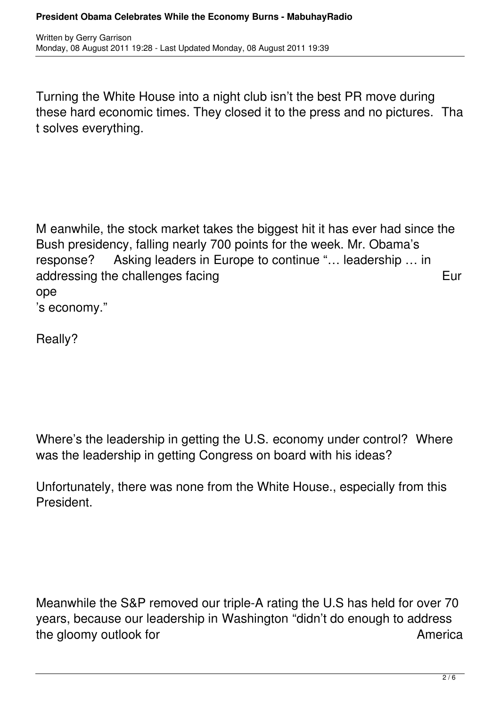Turning the White House into a night club isn't the best PR move during these hard economic times. They closed it to the press and no pictures. Tha t solves everything.

M eanwhile, the stock market takes the biggest hit it has ever had since the Bush presidency, falling nearly 700 points for the week. Mr. Obama's response? Asking leaders in Europe to continue "… leadership … in addressing the challenges facing European Control and Table 2014 European European European European European Eur ope 's economy."

Really?

Where's the leadership in getting the U.S. economy under control? Where was the leadership in getting Congress on board with his ideas?

Unfortunately, there was none from the White House., especially from this President.

Meanwhile the S&P removed our triple-A rating the U.S has held for over 70 years, because our leadership in Washington "didn't do enough to address the gloomy outlook for a state of the gloomy outlook for a state of the America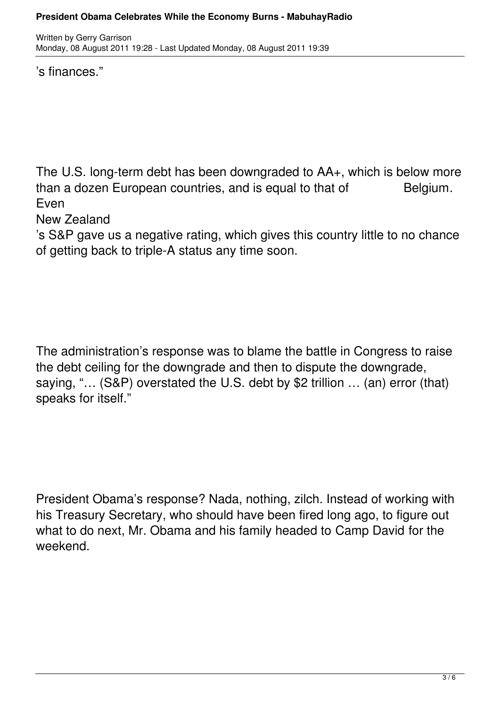's finances."

The U.S. long-term debt has been downgraded to AA+, which is below more than a dozen European countries, and is equal to that of Belgium. Even

New Zealand

's S&P gave us a negative rating, which gives this country little to no chance of getting back to triple-A status any time soon.

The administration's response was to blame the battle in Congress to raise the debt ceiling for the downgrade and then to dispute the downgrade, saying, "… (S&P) overstated the U.S. debt by \$2 trillion … (an) error (that) speaks for itself."

President Obama's response? Nada, nothing, zilch. Instead of working with his Treasury Secretary, who should have been fired long ago, to figure out what to do next, Mr. Obama and his family headed to Camp David for the weekend.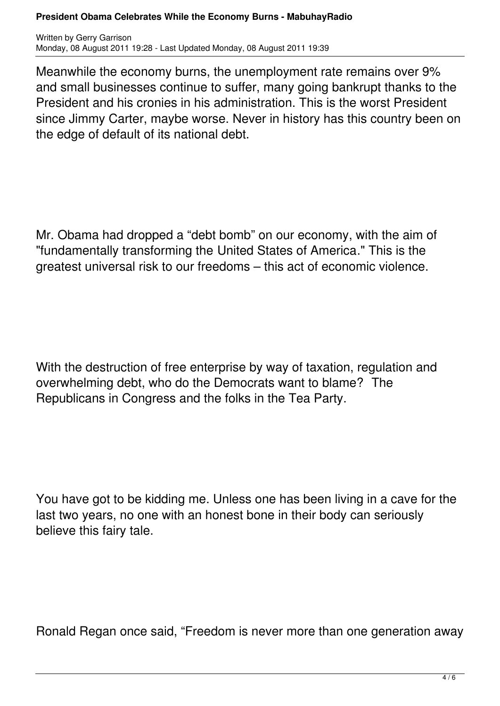## **President Obama Celebrates While the Economy Burns - MabuhayRadio**

Written by Gerry Garrison Monday, 08 August 2011 19:28 - Last Updated Monday, 08 August 2011 19:39

Meanwhile the economy burns, the unemployment rate remains over 9% and small businesses continue to suffer, many going bankrupt thanks to the President and his cronies in his administration. This is the worst President since Jimmy Carter, maybe worse. Never in history has this country been on the edge of default of its national debt.

Mr. Obama had dropped a "debt bomb" on our economy, with the aim of "fundamentally transforming the United States of America." This is the greatest universal risk to our freedoms – this act of economic violence.

With the destruction of free enterprise by way of taxation, regulation and overwhelming debt, who do the Democrats want to blame? The Republicans in Congress and the folks in the Tea Party.

You have got to be kidding me. Unless one has been living in a cave for the last two years, no one with an honest bone in their body can seriously believe this fairy tale.

Ronald Regan once said, "Freedom is never more than one generation away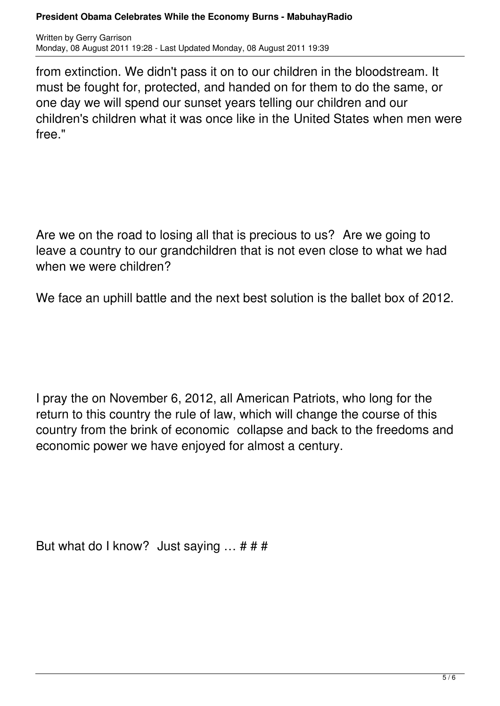## **President Obama Celebrates While the Economy Burns - MabuhayRadio**

Written by Gerry Garrison Monday, 08 August 2011 19:28 - Last Updated Monday, 08 August 2011 19:39

from extinction. We didn't pass it on to our children in the bloodstream. It must be fought for, protected, and handed on for them to do the same, or one day we will spend our sunset years telling our children and our children's children what it was once like in the United States when men were free."

Are we on the road to losing all that is precious to us? Are we going to leave a country to our grandchildren that is not even close to what we had when we were children?

We face an uphill battle and the next best solution is the ballet box of 2012.

I pray the on November 6, 2012, all American Patriots, who long for the return to this country the rule of law, which will change the course of this country from the brink of economic collapse and back to the freedoms and economic power we have enjoyed for almost a century.

But what do I know? Just saying  $\ldots$  # # #